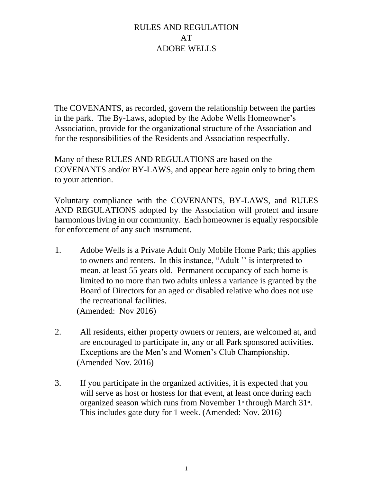The COVENANTS, as recorded, govern the relationship between the parties in the park. The By-Laws, adopted by the Adobe Wells Homeowner's Association, provide for the organizational structure of the Association and for the responsibilities of the Residents and Association respectfully.

Many of these RULES AND REGULATIONS are based on the COVENANTS and/or BY-LAWS, and appear here again only to bring them to your attention.

Voluntary compliance with the COVENANTS, BY-LAWS, and RULES AND REGULATIONS adopted by the Association will protect and insure harmonious living in our community. Each homeowner is equally responsible for enforcement of any such instrument.

- 1. Adobe Wells is a Private Adult Only Mobile Home Park; this applies to owners and renters. In this instance, "Adult '' is interpreted to mean, at least 55 years old. Permanent occupancy of each home is limited to no more than two adults unless a variance is granted by the Board of Directors for an aged or disabled relative who does not use the recreational facilities. (Amended: Nov 2016)
- 2. All residents, either property owners or renters, are welcomed at, and are encouraged to participate in, any or all Park sponsored activities. Exceptions are the Men's and Women's Club Championship. (Amended Nov. 2016)
- 3. If you participate in the organized activities, it is expected that you will serve as host or hostess for that event, at least once during each organized season which runs from November  $1$ <sup>st</sup> through March  $31$ <sup>st</sup>. This includes gate duty for 1 week. (Amended: Nov. 2016)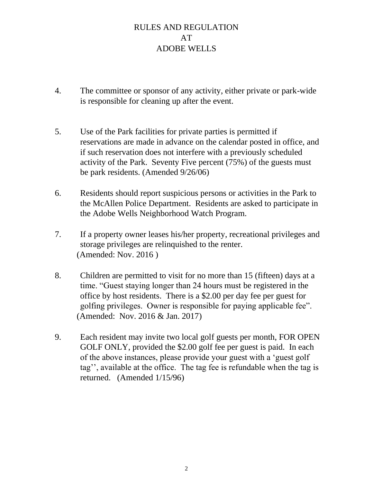- 4. The committee or sponsor of any activity, either private or park-wide is responsible for cleaning up after the event.
- 5. Use of the Park facilities for private parties is permitted if reservations are made in advance on the calendar posted in office, and if such reservation does not interfere with a previously scheduled activity of the Park. Seventy Five percent (75%) of the guests must be park residents. (Amended 9/26/06)
- 6. Residents should report suspicious persons or activities in the Park to the McAllen Police Department. Residents are asked to participate in the Adobe Wells Neighborhood Watch Program.
- 7. If a property owner leases his/her property, recreational privileges and storage privileges are relinquished to the renter. (Amended: Nov. 2016 )
- 8. Children are permitted to visit for no more than 15 (fifteen) days at a time. "Guest staying longer than 24 hours must be registered in the office by host residents. There is a \$2.00 per day fee per guest for golfing privileges. Owner is responsible for paying applicable fee". (Amended: Nov. 2016 & Jan. 2017)
- 9. Each resident may invite two local golf guests per month, FOR OPEN GOLF ONLY, provided the \$2.00 golf fee per guest is paid. In each of the above instances, please provide your guest with a 'guest golf tag'', available at the office. The tag fee is refundable when the tag is returned. (Amended 1/15/96)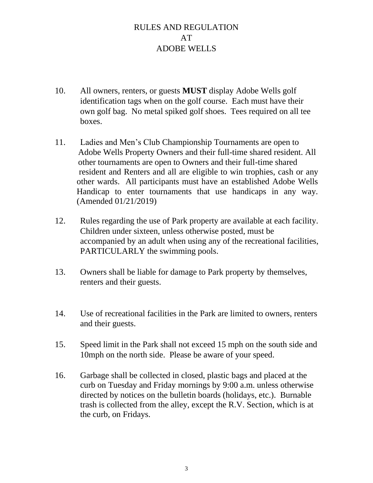- 10. All owners, renters, or guests **MUST** display Adobe Wells golf identification tags when on the golf course. Each must have their own golf bag. No metal spiked golf shoes. Tees required on all tee boxes.
- 11. Ladies and Men's Club Championship Tournaments are open to Adobe Wells Property Owners and their full-time shared resident. All other tournaments are open to Owners and their full-time shared resident and Renters and all are eligible to win trophies, cash or any other wards. All participants must have an established Adobe Wells Handicap to enter tournaments that use handicaps in any way. (Amended 01/21/2019)
- 12. Rules regarding the use of Park property are available at each facility. Children under sixteen, unless otherwise posted, must be accompanied by an adult when using any of the recreational facilities, PARTICULARLY the swimming pools.
- 13. Owners shall be liable for damage to Park property by themselves, renters and their guests.
- 14. Use of recreational facilities in the Park are limited to owners, renters and their guests.
- 15. Speed limit in the Park shall not exceed 15 mph on the south side and 10mph on the north side. Please be aware of your speed.
- 16. Garbage shall be collected in closed, plastic bags and placed at the curb on Tuesday and Friday mornings by 9:00 a.m. unless otherwise directed by notices on the bulletin boards (holidays, etc.). Burnable trash is collected from the alley, except the R.V. Section, which is at the curb, on Fridays.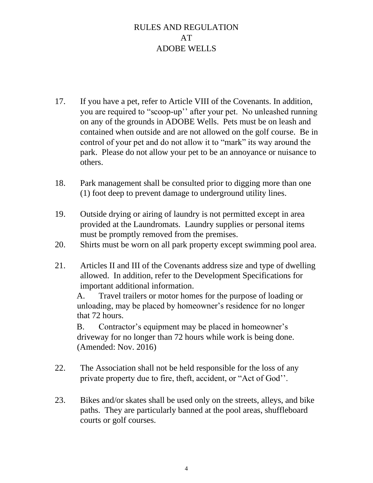- 17. If you have a pet, refer to Article VIII of the Covenants. In addition, you are required to "scoop-up'' after your pet. No unleashed running on any of the grounds in ADOBE Wells. Pets must be on leash and contained when outside and are not allowed on the golf course. Be in control of your pet and do not allow it to "mark" its way around the park. Please do not allow your pet to be an annoyance or nuisance to others.
- 18. Park management shall be consulted prior to digging more than one (1) foot deep to prevent damage to underground utility lines.
- 19. Outside drying or airing of laundry is not permitted except in area provided at the Laundromats. Laundry supplies or personal items must be promptly removed from the premises.
- 20. Shirts must be worn on all park property except swimming pool area.
- 21. Articles II and III of the Covenants address size and type of dwelling allowed. In addition, refer to the Development Specifications for important additional information.

A. Travel trailers or motor homes for the purpose of loading or unloading, may be placed by homeowner's residence for no longer that 72 hours.

B. Contractor's equipment may be placed in homeowner's driveway for no longer than 72 hours while work is being done. (Amended: Nov. 2016)

- 22. The Association shall not be held responsible for the loss of any private property due to fire, theft, accident, or "Act of God''.
- 23. Bikes and/or skates shall be used only on the streets, alleys, and bike paths. They are particularly banned at the pool areas, shuffleboard courts or golf courses.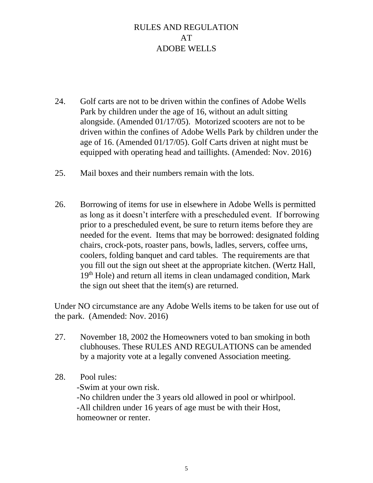- 24. Golf carts are not to be driven within the confines of Adobe Wells Park by children under the age of 16, without an adult sitting alongside. (Amended 01/17/05). Motorized scooters are not to be driven within the confines of Adobe Wells Park by children under the age of 16. (Amended 01/17/05). Golf Carts driven at night must be equipped with operating head and taillights. (Amended: Nov. 2016)
- 25. Mail boxes and their numbers remain with the lots.
- 26. Borrowing of items for use in elsewhere in Adobe Wells is permitted as long as it doesn't interfere with a prescheduled event. If borrowing prior to a prescheduled event, be sure to return items before they are needed for the event. Items that may be borrowed: designated folding chairs, crock-pots, roaster pans, bowls, ladles, servers, coffee urns, coolers, folding banquet and card tables. The requirements are that you fill out the sign out sheet at the appropriate kitchen. (Wertz Hall, 19<sup>th</sup> Hole) and return all items in clean undamaged condition, Mark the sign out sheet that the item(s) are returned.

Under NO circumstance are any Adobe Wells items to be taken for use out of the park. (Amended: Nov. 2016)

- 27. November 18, 2002 the Homeowners voted to ban smoking in both clubhouses. These RULES AND REGULATIONS can be amended by a majority vote at a legally convened Association meeting.
- 28. Pool rules:

-Swim at your own risk. -No children under the 3 years old allowed in pool or whirlpool. -All children under 16 years of age must be with their Host, homeowner or renter.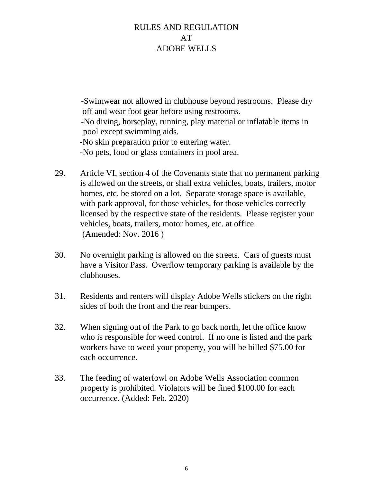-Swimwear not allowed in clubhouse beyond restrooms. Please dry off and wear foot gear before using restrooms. -No diving, horseplay, running, play material or inflatable items in pool except swimming aids. -No skin preparation prior to entering water. -No pets, food or glass containers in pool area.

- 29. Article VI, section 4 of the Covenants state that no permanent parking is allowed on the streets, or shall extra vehicles, boats, trailers, motor homes, etc. be stored on a lot. Separate storage space is available, with park approval, for those vehicles, for those vehicles correctly licensed by the respective state of the residents. Please register your vehicles, boats, trailers, motor homes, etc. at office. (Amended: Nov. 2016 )
- 30. No overnight parking is allowed on the streets. Cars of guests must have a Visitor Pass. Overflow temporary parking is available by the clubhouses.
- 31. Residents and renters will display Adobe Wells stickers on the right sides of both the front and the rear bumpers.
- 32. When signing out of the Park to go back north, let the office know who is responsible for weed control. If no one is listed and the park workers have to weed your property, you will be billed \$75.00 for each occurrence.
- 33. The feeding of waterfowl on Adobe Wells Association common property is prohibited. Violators will be fined \$100.00 for each occurrence. (Added: Feb. 2020)